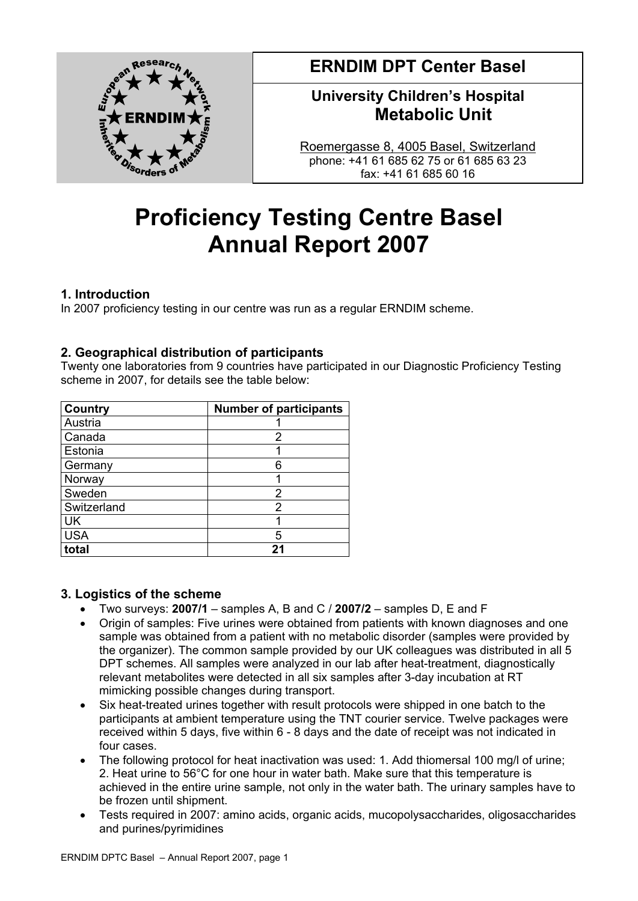

**ERNDIM DPT Center Basel** 

## **University Children's Hospital Metabolic Unit**

Roemergasse 8, 4005 Basel, Switzerland phone: +41 61 685 62 75 or 61 685 63 23 fax: +41 61 685 60 16

# **Proficiency Testing Centre Basel Annual Report 2007**

## **1. Introduction**

In 2007 proficiency testing in our centre was run as a regular ERNDIM scheme.

## **2. Geographical distribution of participants**

Twenty one laboratories from 9 countries have participated in our Diagnostic Proficiency Testing scheme in 2007, for details see the table below:

| <b>Country</b> | <b>Number of participants</b> |
|----------------|-------------------------------|
| Austria        |                               |
| Canada         | 2                             |
| Estonia        |                               |
| Germany        | 6                             |
| Norway         |                               |
| Sweden         | 2                             |
| Switzerland    | 2                             |
| UK             |                               |
| <b>USA</b>     | 5                             |
| total          |                               |

## **3. Logistics of the scheme**

- Two surveys: **2007/1** samples A, B and C / **2007/2** samples D, E and F
- Origin of samples: Five urines were obtained from patients with known diagnoses and one sample was obtained from a patient with no metabolic disorder (samples were provided by the organizer). The common sample provided by our UK colleagues was distributed in all 5 DPT schemes. All samples were analyzed in our lab after heat-treatment, diagnostically relevant metabolites were detected in all six samples after 3-day incubation at RT mimicking possible changes during transport.
- Six heat-treated urines together with result protocols were shipped in one batch to the participants at ambient temperature using the TNT courier service. Twelve packages were received within 5 days, five within 6 - 8 days and the date of receipt was not indicated in four cases.
- The following protocol for heat inactivation was used: 1. Add thiomersal 100 mg/l of urine; 2. Heat urine to 56°C for one hour in water bath. Make sure that this temperature is achieved in the entire urine sample, not only in the water bath. The urinary samples have to be frozen until shipment.
- Tests required in 2007: amino acids, organic acids, mucopolysaccharides, oligosaccharides and purines/pyrimidines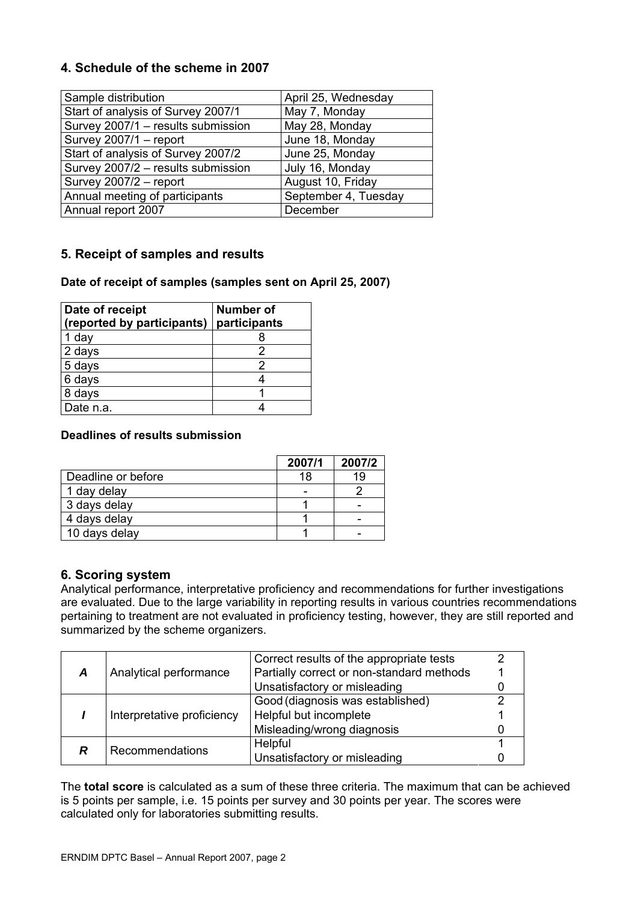## **4. Schedule of the scheme in 2007**

| Sample distribution                | April 25, Wednesday  |  |  |
|------------------------------------|----------------------|--|--|
| Start of analysis of Survey 2007/1 | May 7, Monday        |  |  |
| Survey 2007/1 - results submission | May 28, Monday       |  |  |
| Survey 2007/1 - report             | June 18, Monday      |  |  |
| Start of analysis of Survey 2007/2 | June 25, Monday      |  |  |
| Survey 2007/2 - results submission | July 16, Monday      |  |  |
| Survey 2007/2 - report             | August 10, Friday    |  |  |
| Annual meeting of participants     | September 4, Tuesday |  |  |
| Annual report 2007                 | December             |  |  |

## **5. Receipt of samples and results**

#### **Date of receipt of samples (samples sent on April 25, 2007)**

| Date of receipt            | <b>Number of</b> |  |  |
|----------------------------|------------------|--|--|
| (reported by participants) | participants     |  |  |
| 1 day                      |                  |  |  |
| 2 days                     |                  |  |  |
| 5 days                     | 2                |  |  |
| 6 days                     |                  |  |  |
| 8 days                     |                  |  |  |
| Date n.a.                  |                  |  |  |

#### **Deadlines of results submission**

|                    | 2007/1 | 2007/2 |
|--------------------|--------|--------|
| Deadline or before | 18     | 19     |
| 1 day delay        | -      |        |
| 3 days delay       |        |        |
| 4 days delay       |        |        |
| 10 days delay      |        |        |

## **6. Scoring system**

Analytical performance, interpretative proficiency and recommendations for further investigations are evaluated. Due to the large variability in reporting results in various countries recommendations pertaining to treatment are not evaluated in proficiency testing, however, they are still reported and summarized by the scheme organizers.

| Analytical performance<br>Α |                        | Correct results of the appropriate tests  |  |
|-----------------------------|------------------------|-------------------------------------------|--|
|                             |                        | Partially correct or non-standard methods |  |
|                             |                        | Unsatisfactory or misleading              |  |
|                             |                        | Good (diagnosis was established)          |  |
| Interpretative proficiency  | Helpful but incomplete |                                           |  |
|                             |                        | Misleading/wrong diagnosis                |  |
| R                           | Recommendations        | Helpful                                   |  |
|                             |                        | Unsatisfactory or misleading              |  |

The **total score** is calculated as a sum of these three criteria. The maximum that can be achieved is 5 points per sample, i.e. 15 points per survey and 30 points per year. The scores were calculated only for laboratories submitting results.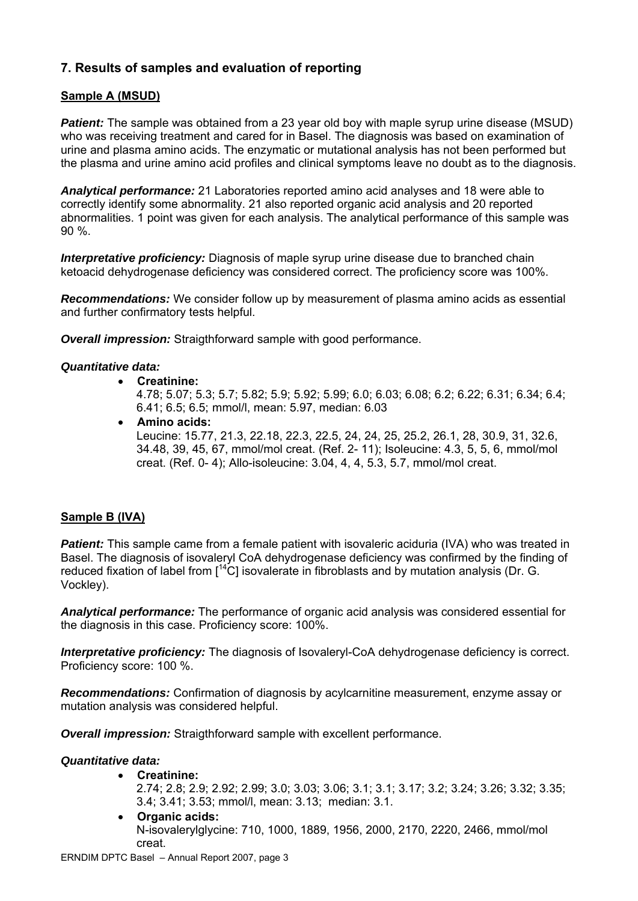## **7. Results of samples and evaluation of reporting**

## **Sample A (MSUD)**

**Patient:** The sample was obtained from a 23 year old boy with maple syrup urine disease (MSUD) who was receiving treatment and cared for in Basel. The diagnosis was based on examination of urine and plasma amino acids. The enzymatic or mutational analysis has not been performed but the plasma and urine amino acid profiles and clinical symptoms leave no doubt as to the diagnosis.

*Analytical performance:* 21 Laboratories reported amino acid analyses and 18 were able to correctly identify some abnormality. 21 also reported organic acid analysis and 20 reported abnormalities. 1 point was given for each analysis. The analytical performance of this sample was 90 %.

**Interpretative proficiency:** Diagnosis of maple syrup urine disease due to branched chain ketoacid dehydrogenase deficiency was considered correct. The proficiency score was 100%.

*Recommendations:* We consider follow up by measurement of plasma amino acids as essential and further confirmatory tests helpful.

*Overall impression:* Straigthforward sample with good performance.

#### *Quantitative data:*

• **Creatinine:** 

4.78; 5.07; 5.3; 5.7; 5.82; 5.9; 5.92; 5.99; 6.0; 6.03; 6.08; 6.2; 6.22; 6.31; 6.34; 6.4; 6.41; 6.5; 6.5; mmol/l, mean: 5.97, median: 6.03

• **Amino acids:**

Leucine: 15.77, 21.3, 22.18, 22.3, 22.5, 24, 24, 25, 25.2, 26.1, 28, 30.9, 31, 32.6, 34.48, 39, 45, 67, mmol/mol creat. (Ref. 2- 11); Isoleucine: 4.3, 5, 5, 6, mmol/mol creat. (Ref. 0- 4); Allo-isoleucine: 3.04, 4, 4, 5.3, 5.7, mmol/mol creat.

#### **Sample B (IVA)**

**Patient:** This sample came from a female patient with isovaleric aciduria (IVA) who was treated in Basel. The diagnosis of isovaleryl CoA dehydrogenase deficiency was confirmed by the finding of reduced fixation of label from  $I^{14}C$ ] isovalerate in fibroblasts and by mutation analysis (Dr. G. Vockley).

*Analytical performance:* The performance of organic acid analysis was considered essential for the diagnosis in this case. Proficiency score: 100%.

**Interpretative proficiency:** The diagnosis of Isovaleryl-CoA dehydrogenase deficiency is correct. Proficiency score: 100 %.

*Recommendations:* Confirmation of diagnosis by acylcarnitine measurement, enzyme assay or mutation analysis was considered helpful.

*Overall impression:* Straigthforward sample with excellent performance.

#### *Quantitative data:*

- **Creatinine:**
	- 2.74; 2.8; 2.9; 2.92; 2.99; 3.0; 3.03; 3.06; 3.1; 3.1; 3.17; 3.2; 3.24; 3.26; 3.32; 3.35; 3.4; 3.41; 3.53; mmol/l, mean: 3.13; median: 3.1.
- **Organic acids:** N-isovalerylglycine: 710, 1000, 1889, 1956, 2000, 2170, 2220, 2466, mmol/mol creat.

ERNDIM DPTC Basel – Annual Report 2007, page 3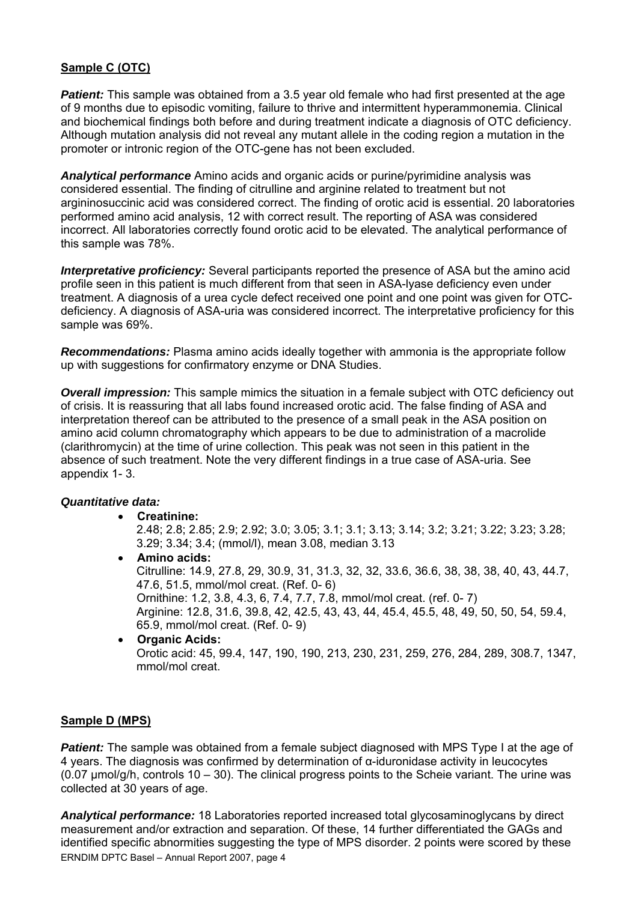### **Sample C (OTC)**

**Patient:** This sample was obtained from a 3.5 year old female who had first presented at the age of 9 months due to episodic vomiting, failure to thrive and intermittent hyperammonemia. Clinical and biochemical findings both before and during treatment indicate a diagnosis of OTC deficiency. Although mutation analysis did not reveal any mutant allele in the coding region a mutation in the promoter or intronic region of the OTC-gene has not been excluded.

*Analytical performance* Amino acids and organic acids or purine/pyrimidine analysis was considered essential. The finding of citrulline and arginine related to treatment but not argininosuccinic acid was considered correct. The finding of orotic acid is essential. 20 laboratories performed amino acid analysis, 12 with correct result. The reporting of ASA was considered incorrect. All laboratories correctly found orotic acid to be elevated. The analytical performance of this sample was 78%.

*Interpretative proficiency:* Several participants reported the presence of ASA but the amino acid profile seen in this patient is much different from that seen in ASA-lyase deficiency even under treatment. A diagnosis of a urea cycle defect received one point and one point was given for OTCdeficiency. A diagnosis of ASA-uria was considered incorrect. The interpretative proficiency for this sample was 69%.

*Recommendations:* Plasma amino acids ideally together with ammonia is the appropriate follow up with suggestions for confirmatory enzyme or DNA Studies.

*Overall impression:* This sample mimics the situation in a female subject with OTC deficiency out of crisis. It is reassuring that all labs found increased orotic acid. The false finding of ASA and interpretation thereof can be attributed to the presence of a small peak in the ASA position on amino acid column chromatography which appears to be due to administration of a macrolide (clarithromycin) at the time of urine collection. This peak was not seen in this patient in the absence of such treatment. Note the very different findings in a true case of ASA-uria. See appendix 1- 3.

#### *Quantitative data:*

• **Creatinine:**

2.48; 2.8; 2.85; 2.9; 2.92; 3.0; 3.05; 3.1; 3.1; 3.13; 3.14; 3.2; 3.21; 3.22; 3.23; 3.28; 3.29; 3.34; 3.4; (mmol/l), mean 3.08, median 3.13

- **Amino acids:**  Citrulline: 14.9, 27.8, 29, 30.9, 31, 31.3, 32, 32, 33.6, 36.6, 38, 38, 38, 40, 43, 44.7, 47.6, 51.5, mmol/mol creat. (Ref. 0- 6) Ornithine: 1.2, 3.8, 4.3, 6, 7.4, 7.7, 7.8, mmol/mol creat. (ref. 0- 7) Arginine: 12.8, 31.6, 39.8, 42, 42.5, 43, 43, 44, 45.4, 45.5, 48, 49, 50, 50, 54, 59.4, 65.9, mmol/mol creat. (Ref. 0- 9) • **Organic Acids:**
- Orotic acid: 45, 99.4, 147, 190, 190, 213, 230, 231, 259, 276, 284, 289, 308.7, 1347, mmol/mol creat.

#### **Sample D (MPS)**

**Patient:** The sample was obtained from a female subject diagnosed with MPS Type I at the age of 4 years. The diagnosis was confirmed by determination of α-iduronidase activity in leucocytes (0.07  $\mu$ mol/g/h, controls 10 – 30). The clinical progress points to the Scheie variant. The urine was collected at 30 years of age.

ERNDIM DPTC Basel – Annual Report 2007, page 4 *Analytical performance:* 18 Laboratories reported increased total glycosaminoglycans by direct measurement and/or extraction and separation. Of these, 14 further differentiated the GAGs and identified specific abnormities suggesting the type of MPS disorder. 2 points were scored by these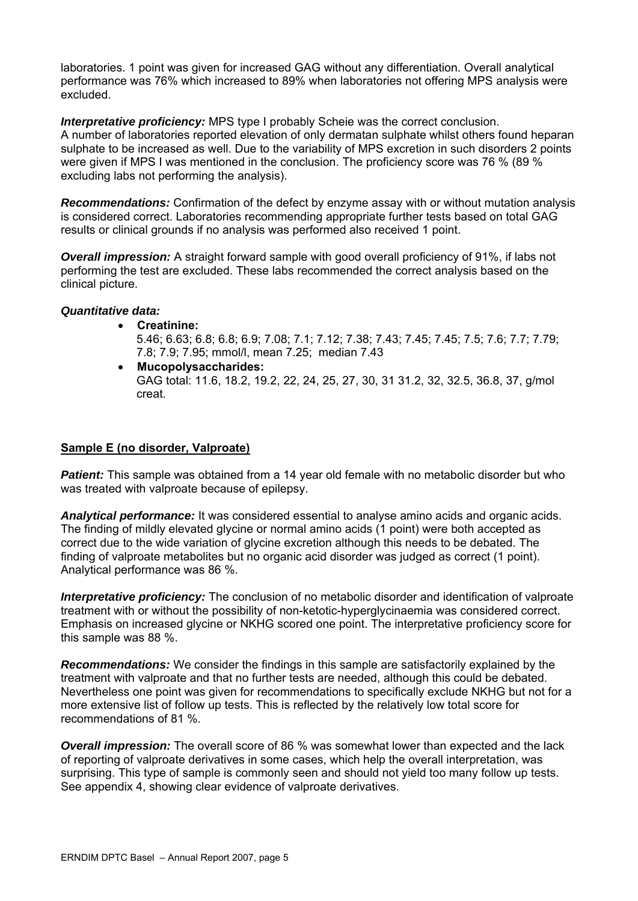laboratories. 1 point was given for increased GAG without any differentiation. Overall analytical performance was 76% which increased to 89% when laboratories not offering MPS analysis were excluded.

*Interpretative proficiency:* MPS type I probably Scheie was the correct conclusion. A number of laboratories reported elevation of only dermatan sulphate whilst others found heparan sulphate to be increased as well. Due to the variability of MPS excretion in such disorders 2 points were given if MPS I was mentioned in the conclusion. The proficiency score was 76 % (89 % excluding labs not performing the analysis).

*Recommendations:* Confirmation of the defect by enzyme assay with or without mutation analysis is considered correct. Laboratories recommending appropriate further tests based on total GAG results or clinical grounds if no analysis was performed also received 1 point.

**Overall impression:** A straight forward sample with good overall proficiency of 91%, if labs not performing the test are excluded. These labs recommended the correct analysis based on the clinical picture.

#### *Quantitative data:*

- **Creatinine:** 
	- 5.46; 6.63; 6.8; 6.8; 6.9; 7.08; 7.1; 7.12; 7.38; 7.43; 7.45; 7.45; 7.5; 7.6; 7.7; 7.79; 7.8; 7.9; 7.95; mmol/l, mean 7.25; median 7.43
- **Mucopolysaccharides:**  GAG total: 11.6, 18.2, 19.2, 22, 24, 25, 27, 30, 31 31.2, 32, 32.5, 36.8, 37, g/mol creat.

#### **Sample E (no disorder, Valproate)**

**Patient:** This sample was obtained from a 14 year old female with no metabolic disorder but who was treated with valproate because of epilepsy.

*Analytical performance:* It was considered essential to analyse amino acids and organic acids. The finding of mildly elevated glycine or normal amino acids (1 point) were both accepted as correct due to the wide variation of glycine excretion although this needs to be debated. The finding of valproate metabolites but no organic acid disorder was judged as correct (1 point). Analytical performance was 86 %.

*Interpretative proficiency:* The conclusion of no metabolic disorder and identification of valproate treatment with or without the possibility of non-ketotic-hyperglycinaemia was considered correct. Emphasis on increased glycine or NKHG scored one point. The interpretative proficiency score for this sample was 88 %.

*Recommendations:* We consider the findings in this sample are satisfactorily explained by the treatment with valproate and that no further tests are needed, although this could be debated. Nevertheless one point was given for recommendations to specifically exclude NKHG but not for a more extensive list of follow up tests. This is reflected by the relatively low total score for recommendations of 81 %.

*Overall impression:* The overall score of 86 % was somewhat lower than expected and the lack of reporting of valproate derivatives in some cases, which help the overall interpretation, was surprising. This type of sample is commonly seen and should not yield too many follow up tests. See appendix 4, showing clear evidence of valproate derivatives.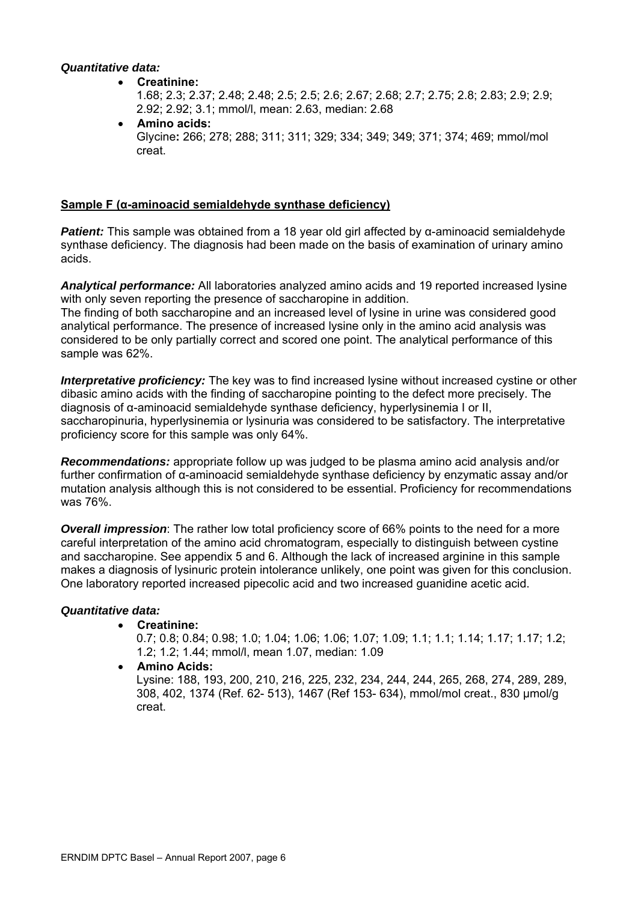#### *Quantitative data:*

• **Creatinine:** 

1.68; 2.3; 2.37; 2.48; 2.48; 2.5; 2.5; 2.6; 2.67; 2.68; 2.7; 2.75; 2.8; 2.83; 2.9; 2.9; 2.92; 2.92; 3.1; mmol/l, mean: 2.63, median: 2.68

• **Amino acids:**  Glycine**:** 266; 278; 288; 311; 311; 329; 334; 349; 349; 371; 374; 469; mmol/mol creat.

#### **Sample F (α-aminoacid semialdehyde synthase deficiency)**

*Patient:* This sample was obtained from a 18 year old girl affected by α-aminoacid semialdehyde synthase deficiency. The diagnosis had been made on the basis of examination of urinary amino acids.

*Analytical performance:* All laboratories analyzed amino acids and 19 reported increased lysine with only seven reporting the presence of saccharopine in addition.

The finding of both saccharopine and an increased level of lysine in urine was considered good analytical performance. The presence of increased lysine only in the amino acid analysis was considered to be only partially correct and scored one point. The analytical performance of this sample was 62%.

*Interpretative proficiency:* The key was to find increased lysine without increased cystine or other dibasic amino acids with the finding of saccharopine pointing to the defect more precisely. The diagnosis of α-aminoacid semialdehyde synthase deficiency, hyperlysinemia I or II, saccharopinuria, hyperlysinemia or lysinuria was considered to be satisfactory. The interpretative proficiency score for this sample was only 64%.

*Recommendations:* appropriate follow up was judged to be plasma amino acid analysis and/or further confirmation of α-aminoacid semialdehyde synthase deficiency by enzymatic assay and/or mutation analysis although this is not considered to be essential. Proficiency for recommendations was 76%.

*Overall impression*: The rather low total proficiency score of 66% points to the need for a more careful interpretation of the amino acid chromatogram, especially to distinguish between cystine and saccharopine. See appendix 5 and 6. Although the lack of increased arginine in this sample makes a diagnosis of lysinuric protein intolerance unlikely, one point was given for this conclusion. One laboratory reported increased pipecolic acid and two increased guanidine acetic acid.

#### *Quantitative data:*

#### • **Creatinine:**

0.7; 0.8; 0.84; 0.98; 1.0; 1.04; 1.06; 1.06; 1.07; 1.09; 1.1; 1.1; 1.14; 1.17; 1.17; 1.2; 1.2; 1.2; 1.44; mmol/l, mean 1.07, median: 1.09

• **Amino Acids:** Lysine: 188, 193, 200, 210, 216, 225, 232, 234, 244, 244, 265, 268, 274, 289, 289, 308, 402, 1374 (Ref. 62- 513), 1467 (Ref 153- 634), mmol/mol creat., 830 µmol/g creat.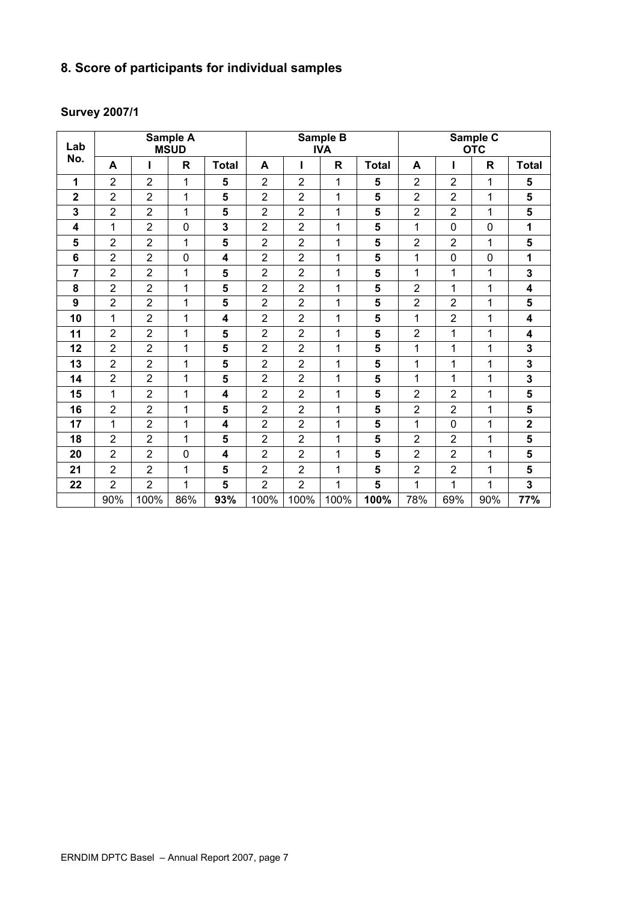## **8. Score of participants for individual samples**

## **Survey 2007/1**

| Lab             |                | Sample A<br><b>MSUD</b> |              |                         | Sample B<br><b>IVA</b> |                |      |              |                | Sample C<br><b>OTC</b> |              |              |
|-----------------|----------------|-------------------------|--------------|-------------------------|------------------------|----------------|------|--------------|----------------|------------------------|--------------|--------------|
| No.             | A              |                         | R            | <b>Total</b>            | A                      |                | R    | <b>Total</b> | A              | ı                      | $\mathsf{R}$ | <b>Total</b> |
| 1               | $\overline{2}$ | $\overline{2}$          | 1            | 5                       | $\overline{2}$         | $\overline{2}$ | 1    | 5            | $\overline{2}$ | $\overline{2}$         | 1            | 5            |
| $\mathbf 2$     | 2              | 2                       | 1            | 5                       | $\overline{2}$         | $\overline{2}$ | 1    | 5            | $\overline{2}$ | $\overline{2}$         | 1            | 5            |
| 3               | $\overline{2}$ | $\overline{2}$          | 1            | 5                       | $\overline{2}$         | $\overline{2}$ | 1    | 5            | $\overline{2}$ | $\overline{2}$         | 1            | 5            |
| 4               | 1              | $\overline{2}$          | $\mathbf 0$  | 3                       | $\overline{2}$         | $\overline{2}$ | 1    | 5            | 1              | $\mathsf 0$            | $\mathbf 0$  | 1            |
| 5               | $\overline{2}$ | $\overline{2}$          | 1            | 5                       | $\overline{2}$         | $\overline{2}$ | 1    | 5            | $\overline{2}$ | $\overline{2}$         | 1            | 5            |
| $6\phantom{1}6$ | $\overline{2}$ | $\overline{2}$          | $\mathbf 0$  | 4                       | $\overline{2}$         | $\overline{2}$ | 1    | 5            | 1              | $\mathsf 0$            | $\mathbf 0$  | 1            |
| 7               | 2              | $\overline{2}$          | 1            | 5                       | $\overline{2}$         | $\overline{2}$ | 1    | 5            | 1              | 1                      | 1            | 3            |
| 8               | $\overline{2}$ | $\overline{2}$          | 1            | 5                       | $\overline{2}$         | $\overline{2}$ | 1    | 5            | $\overline{2}$ | 1                      | 1            | 4            |
| 9               | $\overline{2}$ | $\overline{2}$          | 1            | 5                       | $\overline{2}$         | $\overline{2}$ | 1    | 5            | $\overline{2}$ | $\overline{2}$         | 1            | 5            |
| 10              | 1              | $\overline{2}$          | 1            | 4                       | $\overline{2}$         | $\overline{2}$ | 1    | 5            | 1              | $\overline{2}$         | 1            | 4            |
| 11              | $\overline{2}$ | $\overline{2}$          | 1            | 5                       | $\overline{2}$         | $\overline{2}$ | 1    | 5            | $\overline{2}$ | 1                      | 1            | 4            |
| 12              | $\overline{2}$ | $\overline{2}$          | 1            | 5                       | $\overline{2}$         | $\overline{2}$ | 1    | 5            | 1              | 1                      | 1            | 3            |
| 13              | $\overline{2}$ | $\overline{2}$          | 1            | 5                       | $\overline{2}$         | $\overline{2}$ | 1    | 5            | 1              | 1                      | 1            | 3            |
| 14              | $\overline{2}$ | $\overline{2}$          | 1            | 5                       | $\overline{2}$         | $\overline{2}$ | 1    | 5            | 1              | 1                      | 1            | 3            |
| 15              | 1              | $\overline{2}$          | 1            | $\overline{\mathbf{4}}$ | $\overline{2}$         | $\overline{2}$ | 1    | 5            | $\overline{2}$ | $\overline{2}$         | 1            | 5            |
| 16              | $\overline{2}$ | $\overline{2}$          | $\mathbf{1}$ | 5                       | $\overline{2}$         | $\overline{2}$ | 1    | 5            | $\overline{2}$ | $\overline{2}$         | 1            | 5            |
| 17              | 1              | $\overline{2}$          | 1            | 4                       | $\overline{2}$         | $\overline{2}$ | 1    | 5            | 1              | 0                      | 1            | $\mathbf 2$  |
| 18              | $\overline{2}$ | $\overline{2}$          | 1            | 5                       | $\overline{2}$         | $\overline{2}$ | 1    | 5            | $\overline{2}$ | $\overline{2}$         | 1            | 5            |
| 20              | $\overline{2}$ | $\overline{2}$          | $\mathbf 0$  | 4                       | $\overline{2}$         | $\overline{2}$ | 1    | 5            | $\overline{2}$ | $\overline{2}$         | 1            | 5            |
| 21              | $\overline{2}$ | $\overline{2}$          | 1            | 5                       | $\overline{2}$         | $\overline{2}$ | 1    | 5            | $\overline{2}$ | $\overline{2}$         | 1            | 5            |
| 22              | $\overline{2}$ | $\overline{2}$          | 1            | 5                       | $\overline{2}$         | $\mathbf 2$    | 1    | 5            | 1              | 1                      | 1            | 3            |
|                 | 90%            | 100%                    | 86%          | 93%                     | 100%                   | 100%           | 100% | 100%         | 78%            | 69%                    | 90%          | 77%          |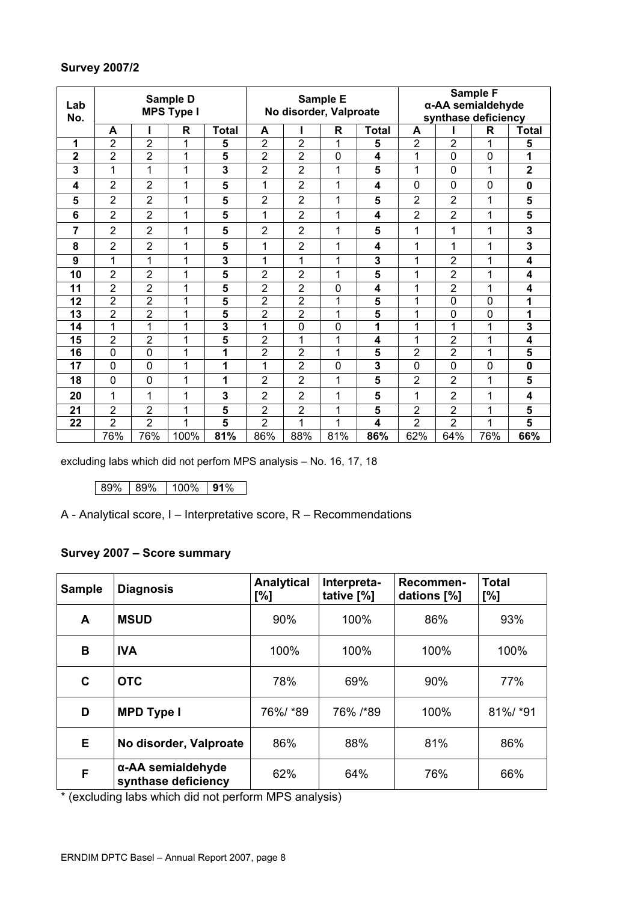## **Survey 2007/2**

| Sample D<br>Lab<br><b>MPS Type I</b> |                |                | Sample E     |                         |                        | Sample F<br>α-AA semialdehyde |     |                     |                |                |             |                         |
|--------------------------------------|----------------|----------------|--------------|-------------------------|------------------------|-------------------------------|-----|---------------------|----------------|----------------|-------------|-------------------------|
| No.                                  |                |                |              |                         | No disorder, Valproate |                               |     | synthase deficiency |                |                |             |                         |
|                                      | A              |                | R            | <b>Total</b>            | A                      |                               | R   | <b>Total</b>        | A              |                | R           | <b>Total</b>            |
| 1                                    | $\overline{2}$ | $\overline{2}$ | 1            | 5                       | $\overline{2}$         | $\overline{2}$                | 1   | 5                   | $\overline{2}$ | $\overline{2}$ | 1           | 5                       |
| $\overline{2}$                       | $\overline{2}$ | $\overline{2}$ | 1            | 5                       | $\overline{2}$         | $\overline{2}$                | 0   | 4                   | 1              | 0              | $\mathbf 0$ | 1                       |
| 3                                    | 1              | 1              | 1            | 3                       | $\overline{2}$         | $\overline{2}$                | 1   | 5                   | 1              | 0              | 1           | $\overline{\mathbf{2}}$ |
| 4                                    | $\overline{2}$ | 2              | 1            | 5                       | 1                      | $\overline{2}$                | 1   | 4                   | $\mathbf 0$    | 0              | $\mathbf 0$ | $\mathbf 0$             |
| 5                                    | $\overline{2}$ | $\overline{2}$ | 1            | 5                       | $\overline{2}$         | $\overline{2}$                | 1   | 5                   | $\overline{2}$ | $\overline{2}$ | 1           | 5                       |
| 6                                    | $\overline{2}$ | $\overline{2}$ | 1            | 5                       | 1                      | $\overline{2}$                | 1   | 4                   | $\overline{2}$ | $\overline{2}$ | 1           | 5                       |
| 7                                    | $\overline{2}$ | $\overline{2}$ | 1            | 5                       | 2                      | $\overline{2}$                | 1   | 5                   | 1              | 1              | 1           | 3                       |
| 8                                    | $\overline{2}$ | $\overline{2}$ | 1            | 5                       | 1                      | $\overline{2}$                | 1   | 4                   | 1              | 1              | 1           | 3                       |
| 9                                    | 1              | 1              | $\mathbf{1}$ | 3                       | 1                      | 1                             | 1   | 3                   | 1              | $\overline{2}$ | 1           | $\overline{\mathbf{4}}$ |
| 10                                   | $\overline{2}$ | 2              | 1            | 5                       | 2                      | 2                             | 1   | 5                   | 1              | 2              | 1           | 4                       |
| 11                                   | $\overline{2}$ | $\overline{c}$ | 1            | 5                       | 2                      | $\overline{2}$                | 0   | 4                   | 1              | 2              | 1           | 4                       |
| 12                                   | $\overline{2}$ | $\overline{2}$ | 1            | 5                       | $\overline{2}$         | $\overline{2}$                | 1   | 5                   | 1              | 0              | $\mathbf 0$ | 1                       |
| 13                                   | $\overline{2}$ | $\overline{2}$ | 1            | 5                       | $\overline{2}$         | $\overline{2}$                | 1   | 5                   | 1              | 0              | $\mathbf 0$ | 1                       |
| 14                                   | 1              | 1              | 1            | 3                       | 1                      | $\mathbf 0$                   | 0   | 1                   | 1              | 1              | 1           | 3                       |
| 15                                   | $\overline{2}$ | $\overline{2}$ | 1            | 5                       | $\overline{2}$         | 1                             | 1   | 4                   | 1              | 2              | 1           | 4                       |
| 16                                   | 0              | 0              | 1            | 1                       | $\overline{2}$         | 2                             | 1   | 5                   | $\overline{2}$ | $\overline{2}$ | 1           | 5                       |
| 17                                   | $\mathbf 0$    | $\mathbf 0$    | 1            | 1                       | 1                      | $\overline{2}$                | 0   | 3                   | $\mathbf 0$    | 0              | $\mathbf 0$ | $\mathbf 0$             |
| 18                                   | $\mathbf 0$    | 0              | 1            | 1                       | $\overline{2}$         | $\overline{2}$                | 1   | 5                   | 2              | 2              | 1           | 5                       |
| 20                                   | 1              | 1              | 1            | 3                       | $\overline{2}$         | $\overline{2}$                | 1   | 5                   | 1              | $\overline{2}$ | 1           | $\overline{\mathbf{4}}$ |
| 21                                   | $\overline{2}$ | $\overline{2}$ | 1            | 5                       | 2                      | 2                             | 1   | 5                   | 2              | 2              | 1           | 5                       |
| 22                                   | $\overline{2}$ | $\overline{2}$ | 1            | $\overline{\mathbf{5}}$ | $\overline{2}$         | 1                             | 1   | 4                   | $\overline{2}$ | $\overline{2}$ | 1           | $\overline{\mathbf{5}}$ |
|                                      | 76%            | 76%            | 100%         | 81%                     | 86%                    | 88%                           | 81% | 86%                 | 62%            | 64%            | 76%         | 66%                     |

excluding labs which did not perfom MPS analysis – No. 16, 17, 18

89% 89% 100% **91**%

A - Analytical score, I – Interpretative score, R – Recommendations

## **Survey 2007 – Score summary**

| <b>Sample</b> | <b>Diagnosis</b>                         | <b>Analytical</b><br>[%] | Interpreta-<br>tative [%] | Recommen-<br>dations [%] | <b>Total</b><br>[%] |
|---------------|------------------------------------------|--------------------------|---------------------------|--------------------------|---------------------|
| A             | <b>MSUD</b>                              | 90%                      | 100%                      | 86%                      | 93%                 |
| B             | <b>IVA</b>                               | 100%                     | 100%                      | 100%                     | 100%                |
| C             | <b>OTC</b>                               | 78%                      | 69%                       | 90%                      | 77%                 |
| D             | <b>MPD Type I</b>                        | 76%/ *89                 | 76% /*89                  | 100%                     | 81%/ *91            |
| E.            | No disorder, Valproate                   | 86%                      | 88%                       | 81%                      | 86%                 |
| F             | α-AA semialdehyde<br>synthase deficiency | 62%                      | 64%                       | 76%                      | 66%                 |

\* (excluding labs which did not perform MPS analysis)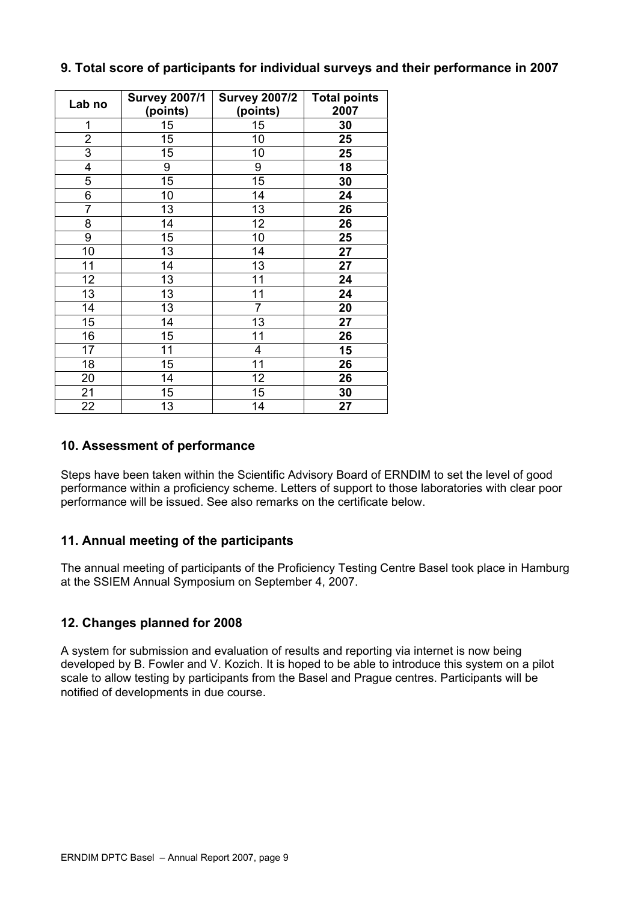| Lab no         | <b>Survey 2007/1</b><br>(points) | <b>Survey 2007/2</b><br>(points) | <b>Total points</b><br>2007 |
|----------------|----------------------------------|----------------------------------|-----------------------------|
| 1              | 15                               | 15                               | 30                          |
| $\overline{c}$ | 15                               | 10                               | 25                          |
| $\overline{3}$ | 15                               | 10                               | 25                          |
| 4              | 9                                | 9                                | 18                          |
| 5              | 15                               | 15                               | 30                          |
| 6              | 10                               | 14                               | 24                          |
| $\overline{7}$ | 13                               | 13                               | 26                          |
| 8              | 14                               | 12                               | 26                          |
| 9              | 15                               | 10                               | 25                          |
| 10             | 13                               | 14                               | 27                          |
| 11             | 14                               | 13                               | 27                          |
| 12             | 13                               | 11                               | 24                          |
| 13             | 13                               | 11                               | 24                          |
| 14             | 13                               | $\overline{7}$                   | 20                          |
| 15             | 14                               | 13                               | 27                          |
| 16             | 15                               | 11                               | 26                          |
| 17             | 11                               | 4                                | 15                          |
| 18             | 15                               | 11                               | 26                          |
| 20             | 14                               | 12                               | 26                          |
| 21             | 15                               | 15                               | 30                          |
| 22             | 13                               | 14                               | 27                          |

## **9. Total score of participants for individual surveys and their performance in 2007**

## **10. Assessment of performance**

Steps have been taken within the Scientific Advisory Board of ERNDIM to set the level of good performance within a proficiency scheme. Letters of support to those laboratories with clear poor performance will be issued. See also remarks on the certificate below.

## **11. Annual meeting of the participants**

The annual meeting of participants of the Proficiency Testing Centre Basel took place in Hamburg at the SSIEM Annual Symposium on September 4, 2007.

## **12. Changes planned for 2008**

A system for submission and evaluation of results and reporting via internet is now being developed by B. Fowler and V. Kozich. It is hoped to be able to introduce this system on a pilot scale to allow testing by participants from the Basel and Prague centres. Participants will be notified of developments in due course.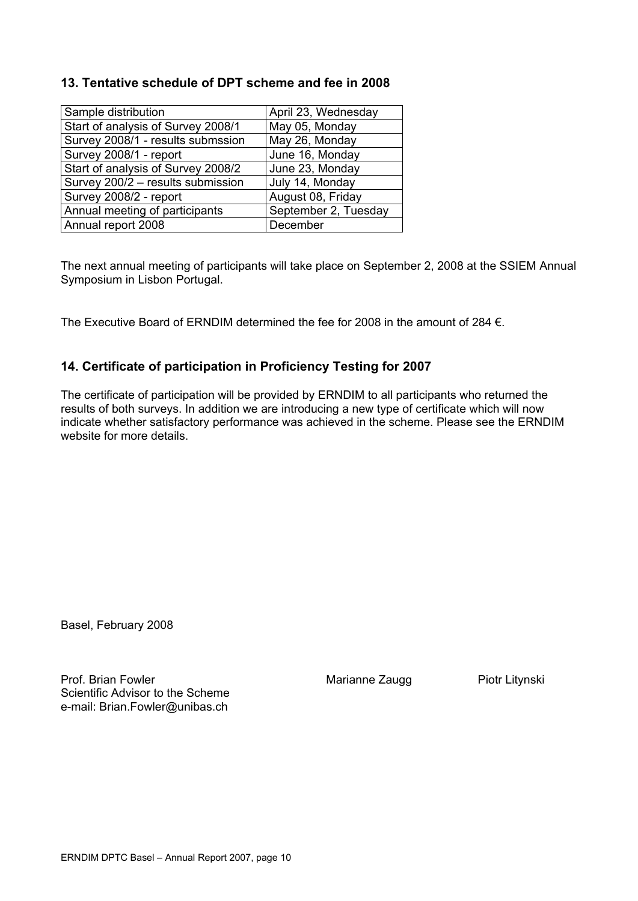## **13. Tentative schedule of DPT scheme and fee in 2008**

| Sample distribution                | April 23, Wednesday  |
|------------------------------------|----------------------|
| Start of analysis of Survey 2008/1 | May 05, Monday       |
| Survey 2008/1 - results submssion  | May 26, Monday       |
| Survey 2008/1 - report             | June 16, Monday      |
| Start of analysis of Survey 2008/2 | June 23, Monday      |
| Survey 200/2 - results submission  | July 14, Monday      |
| Survey 2008/2 - report             | August 08, Friday    |
| Annual meeting of participants     | September 2, Tuesday |
| Annual report 2008                 | December             |

The next annual meeting of participants will take place on September 2, 2008 at the SSIEM Annual Symposium in Lisbon Portugal.

The Executive Board of ERNDIM determined the fee for 2008 in the amount of 284 €.

## **14. Certificate of participation in Proficiency Testing for 2007**

The certificate of participation will be provided by ERNDIM to all participants who returned the results of both surveys. In addition we are introducing a new type of certificate which will now indicate whether satisfactory performance was achieved in the scheme. Please see the ERNDIM website for more details.

Basel, February 2008

Prof. Brian Fowler **Prof.** Brian Fowler Marianne Zaugg Piotr Litynski Scientific Advisor to the Scheme e-mail: [Brian.Fowler@unibas.ch](mailto:Brian.Fowler@unibas.ch)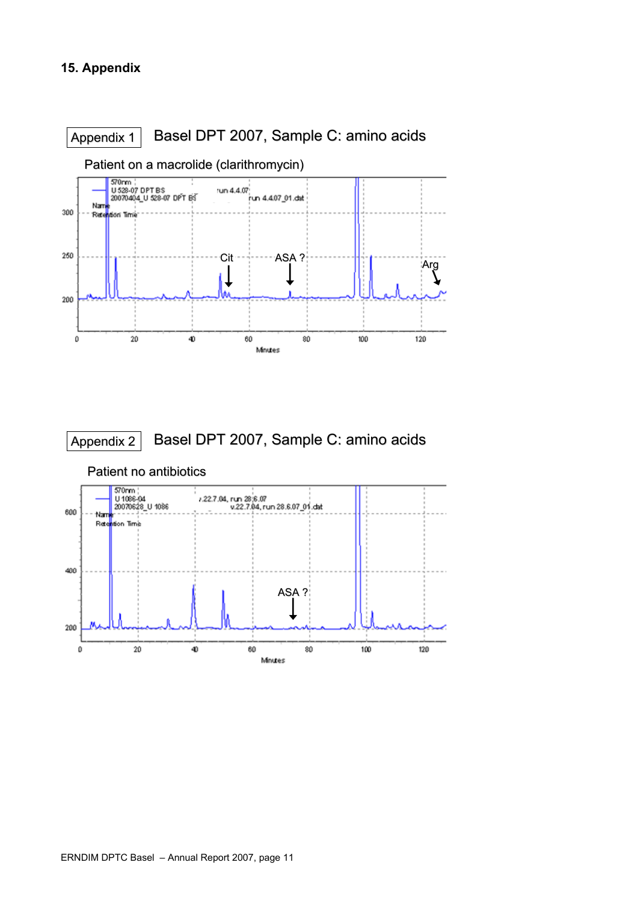





Patient no antibiotics Patient no antibiotics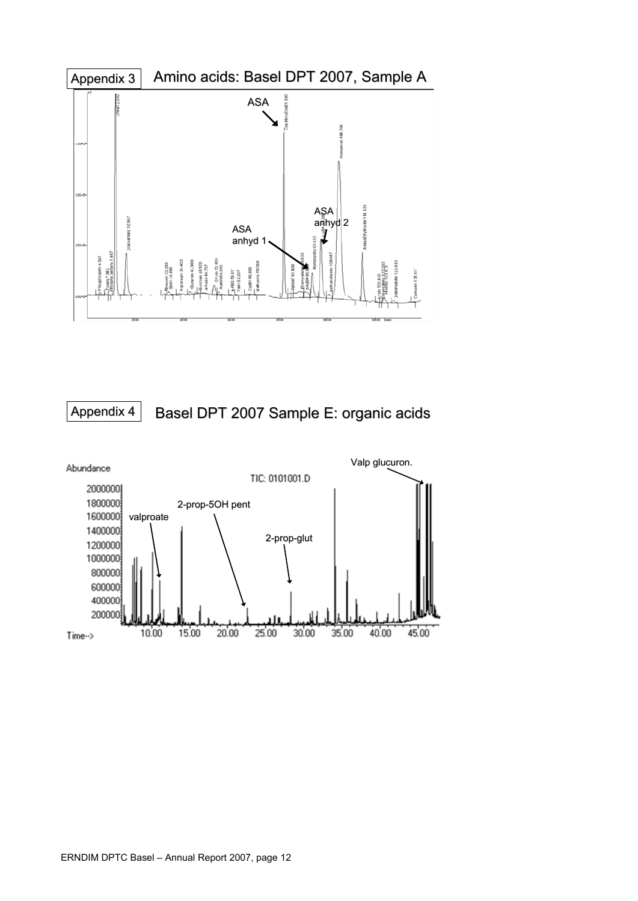

Basel DPT 2007 Sample E: organic acids Appendix 4